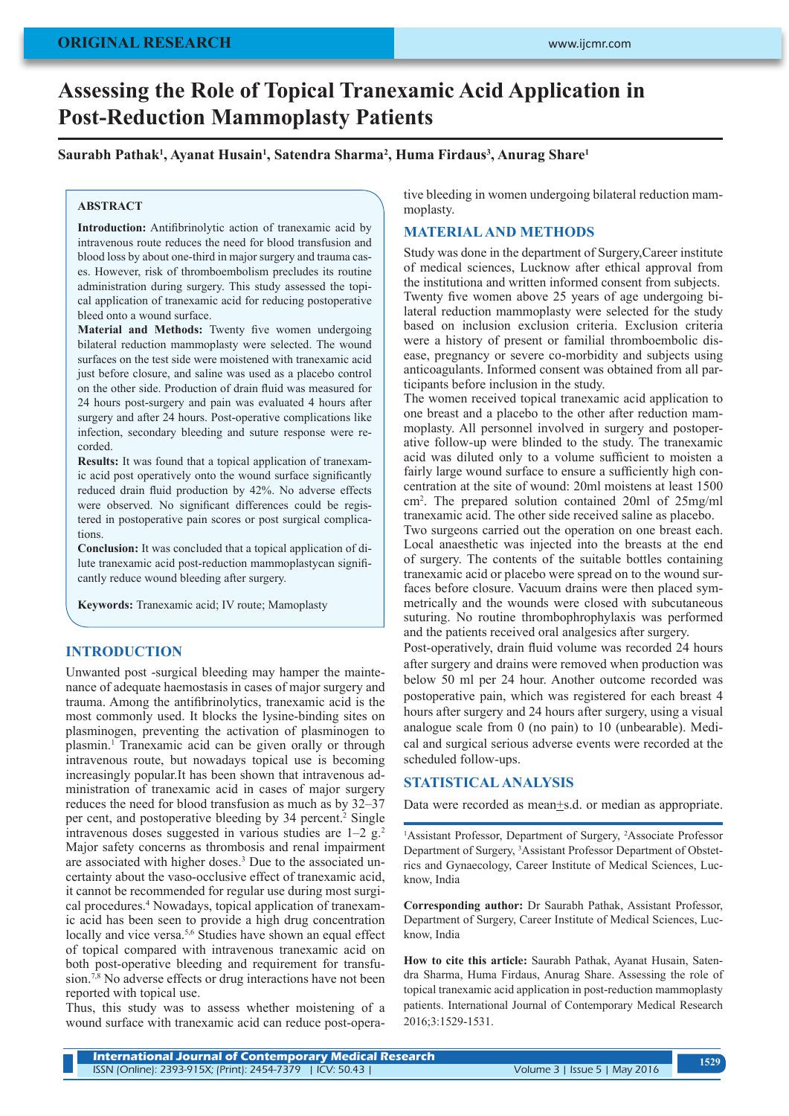# **Assessing the Role of Topical Tranexamic Acid Application in Post-Reduction Mammoplasty Patients**

# **Saurabh Pathak1 , Ayanat Husain1 , Satendra Sharma2 , Huma Firdaus3 , Anurag Share1**

## **ABSTRACT**

**Introduction:** Antifibrinolytic action of tranexamic acid by intravenous route reduces the need for blood transfusion and blood loss by about one-third in major surgery and trauma cases. However, risk of thromboembolism precludes its routine administration during surgery. This study assessed the topical application of tranexamic acid for reducing postoperative bleed onto a wound surface.

**Material and Methods:** Twenty five women undergoing bilateral reduction mammoplasty were selected. The wound surfaces on the test side were moistened with tranexamic acid just before closure, and saline was used as a placebo control on the other side. Production of drain fluid was measured for 24 hours post-surgery and pain was evaluated 4 hours after surgery and after 24 hours. Post-operative complications like infection, secondary bleeding and suture response were recorded.

**Results:** It was found that a topical application of tranexamic acid post operatively onto the wound surface significantly reduced drain fluid production by 42%. No adverse effects were observed. No significant differences could be registered in postoperative pain scores or post surgical complications.

**Conclusion:** It was concluded that a topical application of dilute tranexamic acid post-reduction mammoplastycan significantly reduce wound bleeding after surgery.

**Keywords:** Tranexamic acid; IV route; Mamoplasty

# **INTRODUCTION**

Unwanted post -surgical bleeding may hamper the maintenance of adequate haemostasis in cases of major surgery and trauma. Among the antifibrinolytics, tranexamic acid is the most commonly used. It blocks the lysine-binding sites on plasminogen, preventing the activation of plasminogen to plasmin.<sup>1</sup> Tranexamic acid can be given orally or through intravenous route, but nowadays topical use is becoming increasingly popular.It has been shown that intravenous administration of tranexamic acid in cases of major surgery reduces the need for blood transfusion as much as by 32–37 per cent, and postoperative bleeding by 34 percent.<sup>2</sup> Single intravenous doses suggested in various studies are  $1-2 \text{ g.}^2$ Major safety concerns as thrombosis and renal impairment are associated with higher doses.<sup>3</sup> Due to the associated uncertainty about the vaso-occlusive effect of tranexamic acid, it cannot be recommended for regular use during most surgical procedures.<sup>4</sup> Nowadays, topical application of tranexamic acid has been seen to provide a high drug concentration locally and vice versa.<sup>5,6</sup> Studies have shown an equal effect of topical compared with intravenous tranexamic acid on both post-operative bleeding and requirement for transfusion.<sup>7,8</sup> No adverse effects or drug interactions have not been reported with topical use.

Thus, this study was to assess whether moistening of a wound surface with tranexamic acid can reduce post-opera-

tive bleeding in women undergoing bilateral reduction mammoplasty.

# **MATERIAL AND METHODS**

Study was done in the department of Surgery,Career institute of medical sciences, Lucknow after ethical approval from the institutiona and written informed consent from subjects. Twenty five women above 25 years of age undergoing bilateral reduction mammoplasty were selected for the study based on inclusion exclusion criteria. Exclusion criteria were a history of present or familial thromboembolic disease, pregnancy or severe co-morbidity and subjects using anticoagulants. Informed consent was obtained from all participants before inclusion in the study.

The women received topical tranexamic acid application to one breast and a placebo to the other after reduction mammoplasty. All personnel involved in surgery and postoperative follow-up were blinded to the study. The tranexamic acid was diluted only to a volume sufficient to moisten a fairly large wound surface to ensure a sufficiently high concentration at the site of wound: 20ml moistens at least 1500 cm<sup>2</sup> . The prepared solution contained 20ml of 25mg/ml tranexamic acid. The other side received saline as placebo.

Two surgeons carried out the operation on one breast each. Local anaesthetic was injected into the breasts at the end of surgery. The contents of the suitable bottles containing tranexamic acid or placebo were spread on to the wound surfaces before closure. Vacuum drains were then placed symmetrically and the wounds were closed with subcutaneous suturing. No routine thrombophrophylaxis was performed and the patients received oral analgesics after surgery.

Post-operatively, drain fluid volume was recorded 24 hours after surgery and drains were removed when production was below 50 ml per 24 hour. Another outcome recorded was postoperative pain, which was registered for each breast 4 hours after surgery and 24 hours after surgery, using a visual analogue scale from 0 (no pain) to 10 (unbearable). Medical and surgical serious adverse events were recorded at the scheduled follow-ups.

### **STATISTICAL ANALYSIS**

Data were recorded as mean+s.d. or median as appropriate.

<sup>1</sup>Assistant Professor, Department of Surgery, <sup>2</sup>Associate Professor Department of Surgery, 3 Assistant Professor Department of Obstetrics and Gynaecology, Career Institute of Medical Sciences, Lucknow, India

**Corresponding author:** Dr Saurabh Pathak, Assistant Professor, Department of Surgery, Career Institute of Medical Sciences, Lucknow, India

**How to cite this article:** Saurabh Pathak, Ayanat Husain, Satendra Sharma, Huma Firdaus, Anurag Share. Assessing the role of topical tranexamic acid application in post-reduction mammoplasty patients. International Journal of Contemporary Medical Research 2016;3:1529-1531.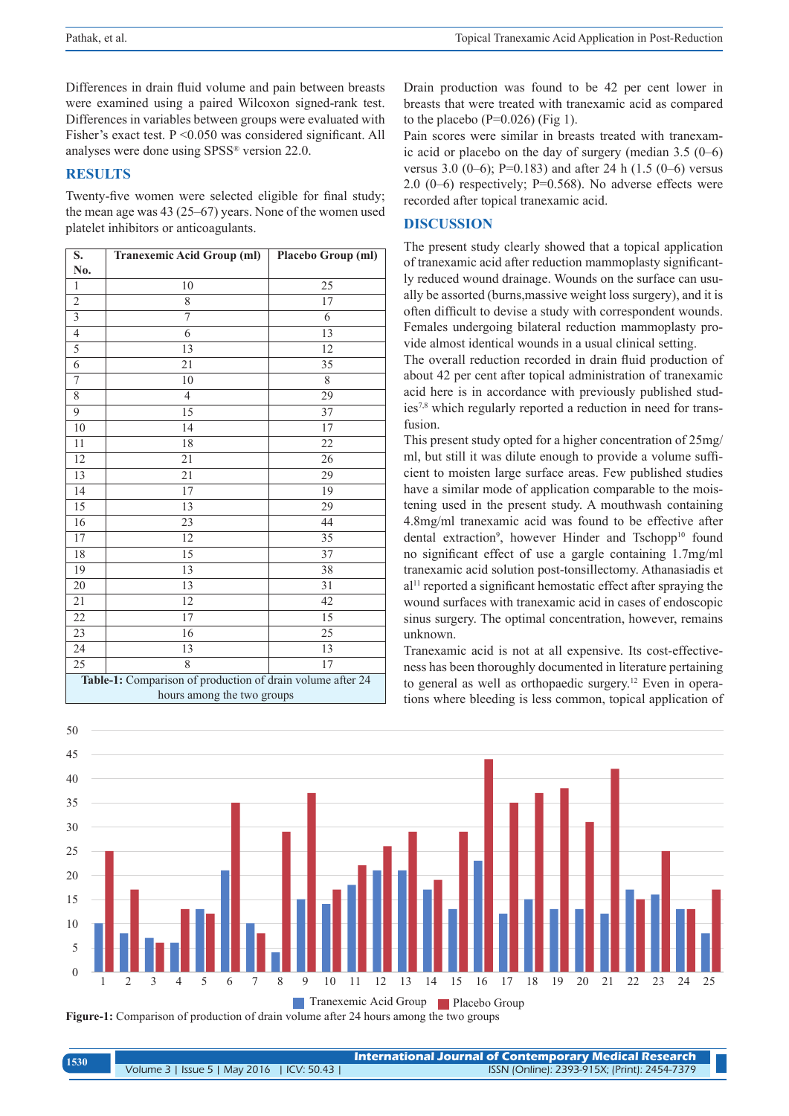Differences in drain fluid volume and pain between breasts were examined using a paired Wilcoxon signed-rank test. Differences in variables between groups were evaluated with Fisher's exact test. P < 0.050 was considered significant. All analyses were done using SPSS® version 22.0.

#### **RESULTS**

Twenty-five women were selected eligible for final study; the mean age was 43 (25–67) years. None of the women used platelet inhibitors or anticoagulants.

| S.                                                         | <b>Tranexemic Acid Group (ml)</b> | Placebo Group (ml) |  |
|------------------------------------------------------------|-----------------------------------|--------------------|--|
| No.                                                        |                                   |                    |  |
| $\mathbf{1}$                                               | 10                                | 25                 |  |
| $\overline{2}$                                             | 8                                 | 17                 |  |
| $\overline{\overline{3}}$                                  | 7                                 | 6                  |  |
| $\overline{4}$                                             | 6                                 | 13                 |  |
| $\overline{5}$                                             | 13                                | 12                 |  |
| $\overline{6}$                                             | 21                                | 35                 |  |
| $\overline{7}$                                             | 10                                | 8                  |  |
| 8                                                          | $\overline{4}$                    | 29                 |  |
| $\overline{9}$                                             | 15                                | 37                 |  |
| $\overline{10}$                                            | 14                                | 17                 |  |
| 11                                                         | 18                                | 22                 |  |
| 12                                                         | 21                                | 26                 |  |
| $\overline{13}$                                            | 21                                | 29                 |  |
| 14                                                         | 17                                | 19                 |  |
| 15                                                         | 13                                | 29                 |  |
| 16                                                         | 23                                | 44                 |  |
| $\overline{17}$                                            | 12                                | 35                 |  |
| 18                                                         | 15                                | 37                 |  |
| 19                                                         | 13                                | 38                 |  |
| 20                                                         | 13                                | 31                 |  |
| 21                                                         | 12                                | 42                 |  |
| $\overline{22}$                                            | 17                                | 15                 |  |
| $\overline{23}$                                            | 16                                | 25                 |  |
| 24                                                         | 13                                | 13                 |  |
| 25                                                         | 8                                 | 17                 |  |
| Table-1: Comparison of production of drain volume after 24 |                                   |                    |  |
| hours among the two groups                                 |                                   |                    |  |

Drain production was found to be 42 per cent lower in breasts that were treated with tranexamic acid as compared to the placebo ( $P=0.026$ ) (Fig 1).

Pain scores were similar in breasts treated with tranexamic acid or placebo on the day of surgery (median 3.5 (0–6) versus 3.0 (0–6); P=0.183) and after 24 h (1.5 (0–6) versus 2.0 (0–6) respectively; P=0.568). No adverse effects were recorded after topical tranexamic acid.

# **DISCUSSION**

The present study clearly showed that a topical application of tranexamic acid after reduction mammoplasty significantly reduced wound drainage. Wounds on the surface can usually be assorted (burns,massive weight loss surgery), and it is often difficult to devise a study with correspondent wounds. Females undergoing bilateral reduction mammoplasty provide almost identical wounds in a usual clinical setting.

The overall reduction recorded in drain fluid production of about 42 per cent after topical administration of tranexamic acid here is in accordance with previously published studies7,8 which regularly reported a reduction in need for transfusion.

This present study opted for a higher concentration of 25mg/ ml, but still it was dilute enough to provide a volume sufficient to moisten large surface areas. Few published studies have a similar mode of application comparable to the moistening used in the present study. A mouthwash containing 4.8mg/ml tranexamic acid was found to be effective after dental extraction<sup>9</sup>, however Hinder and Tschopp<sup>10</sup> found no significant effect of use a gargle containing 1.7mg/ml tranexamic acid solution post-tonsillectomy. Athanasiadis et al<sup>11</sup> reported a significant hemostatic effect after spraying the wound surfaces with tranexamic acid in cases of endoscopic sinus surgery. The optimal concentration, however, remains unknown.

Tranexamic acid is not at all expensive. Its cost-effectiveness has been thoroughly documented in literature pertaining to general as well as orthopaedic surgery.<sup>12</sup> Even in operations where bleeding is less common, topical application of



**Figure-1:** Comparison of production of drain volume after 24 hours among the two groups

| 1530 | <b>International Journal of Contemporary Medical Research</b> |                                              |
|------|---------------------------------------------------------------|----------------------------------------------|
|      | Volume 3   Issue 5   May 2016   ICV: 50.43                    | ISSN (Online): 2393-915X; (Print): 2454-7379 |